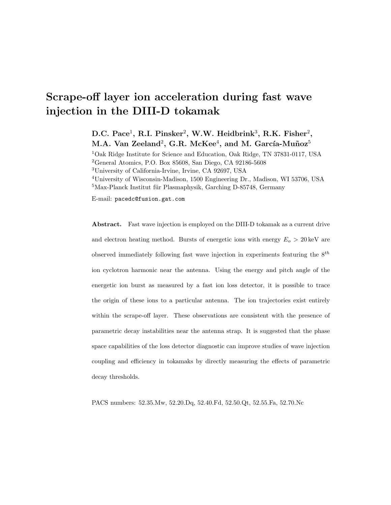# Scrape-off layer ion acceleration during fast wave injection in the DIII-D tokamak

D.C. Pace<sup>1</sup>, R.I. Pinsker<sup>2</sup>, W.W. Heidbrink<sup>3</sup>, R.K. Fisher<sup>2</sup>, M.A. Van Zeeland $^2$ , G.R. McKee $^4$ , and M. García-Muñoz $^5$ 

Oak Ridge Institute for Science and Education, Oak Ridge, TN 37831-0117, USA General Atomics, P.O. Box 85608, San Diego, CA 92186-5608 University of California-Irvine, Irvine, CA 92697, USA University of Wisconsin-Madison, 1500 Engineering Dr., Madison, WI 53706, USA Max-Planck Institut für Plasmaphysik, Garching D-85748, Germany

E-mail: pacedc@fusion.gat.com

Abstract. Fast wave injection is employed on the DIII-D tokamak as a current drive and electron heating method. Bursts of energetic ions with energy  $E_o > 20 \,\text{keV}$  are observed immediately following fast wave injection in experiments featuring the  $8^{th}$ ion cyclotron harmonic near the antenna. Using the energy and pitch angle of the energetic ion burst as measured by a fast ion loss detector, it is possible to trace the origin of these ions to a particular antenna. The ion trajectories exist entirely within the scrape-off layer. These observations are consistent with the presence of parametric decay instabilities near the antenna strap. It is suggested that the phase space capabilities of the loss detector diagnostic can improve studies of wave injection coupling and efficiency in tokamaks by directly measuring the effects of parametric decay thresholds.

PACS numbers: 52.35.Mw, 52.20.Dq, 52.40.Fd, 52.50.Qt, 52.55.Fa, 52.70.Nc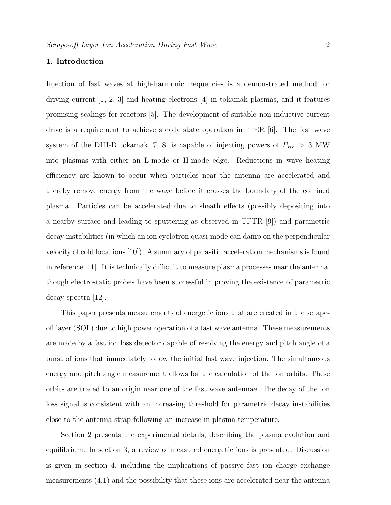# 1. Introduction

Injection of fast waves at high-harmonic frequencies is a demonstrated method for driving current [1, 2, 3] and heating electrons [4] in tokamak plasmas, and it features promising scalings for reactors [5]. The development of suitable non-inductive current drive is a requirement to achieve steady state operation in ITER [6]. The fast wave system of the DIII-D tokamak [7, 8] is capable of injecting powers of  $P_{RF} > 3$  MW into plasmas with either an L-mode or H-mode edge. Reductions in wave heating efficiency are known to occur when particles near the antenna are accelerated and thereby remove energy from the wave before it crosses the boundary of the confined plasma. Particles can be accelerated due to sheath effects (possibly depositing into a nearby surface and leading to sputtering as observed in TFTR [9]) and parametric decay instabilities (in which an ion cyclotron quasi-mode can damp on the perpendicular velocity of cold local ions [10]). A summary of parasitic acceleration mechanisms is found in reference [11]. It is technically difficult to measure plasma processes near the antenna, though electrostatic probes have been successful in proving the existence of parametric decay spectra [12].

This paper presents measurements of energetic ions that are created in the scrapeoff layer (SOL) due to high power operation of a fast wave antenna. These measurements are made by a fast ion loss detector capable of resolving the energy and pitch angle of a burst of ions that immediately follow the initial fast wave injection. The simultaneous energy and pitch angle measurement allows for the calculation of the ion orbits. These orbits are traced to an origin near one of the fast wave antennae. The decay of the ion loss signal is consistent with an increasing threshold for parametric decay instabilities close to the antenna strap following an increase in plasma temperature.

Section 2 presents the experimental details, describing the plasma evolution and equilibrium. In section 3, a review of measured energetic ions is presented. Discussion is given in section 4, including the implications of passive fast ion charge exchange measurements (4.1) and the possibility that these ions are accelerated near the antenna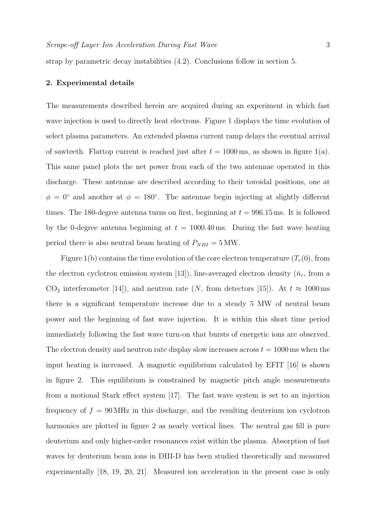strap by parametric decay instabilities (4.2). Conclusions follow in section 5.

## 2. Experimental details

The measurements described herein are acquired during an experiment in which fast wave injection is used to directly heat electrons. Figure 1 displays the time evolution of select plasma parameters. An extended plasma current ramp delays the eventual arrival of sawteeth. Flattop current is reached just after  $t = 1000$  ms, as shown in figure 1(a). This same panel plots the net power from each of the two antennae operated in this discharge. These antennae are described according to their toroidal positions, one at  $\phi = 0^{\circ}$  and another at  $\phi = 180^{\circ}$ . The antennae begin injecting at slightly different times. The 180-degree antenna turns on first, beginning at  $t = 996.15$  ms. It is followed by the 0-degree antenna beginning at  $t = 1000.40$  ms. During the fast wave heating period there is also neutral beam heating of  $P_{NBI} = 5 MW$ .

Figure 1(b) contains the time evolution of the core electron temperature  $(T_e(0),$  from the electron cyclotron emission system [13]), line-averaged electron density ( $\bar{n}_e$ , from a  $CO_2$  interferometer [14]), and neutron rate (N, from detectors [15]). At  $t \approx 1000 \,\text{ms}$ there is a significant temperature increase due to a steady 5 MW of neutral beam power and the beginning of fast wave injection. It is within this short time period immediately following the fast wave turn-on that bursts of energetic ions are observed. The electron density and neutron rate display slow increases across  $t = 1000 \,\text{ms}$  when the input heating is increased. A magnetic equilibrium calculated by EFIT [16] is shown in figure 2. This equilibrium is constrained by magnetic pitch angle measurements from a motional Stark effect system [17]. The fast wave system is set to an injection frequency of  $f = 90$  MHz in this discharge, and the resulting deuterium ion cyclotron harmonics are plotted in figure 2 as nearly vertical lines. The neutral gas fill is pure deuterium and only higher-order resonances exist within the plasma. Absorption of fast waves by deuterium beam ions in DIII-D has been studied theoretically and measured experimentally [18, 19, 20, 21]. Measured ion acceleration in the present case is only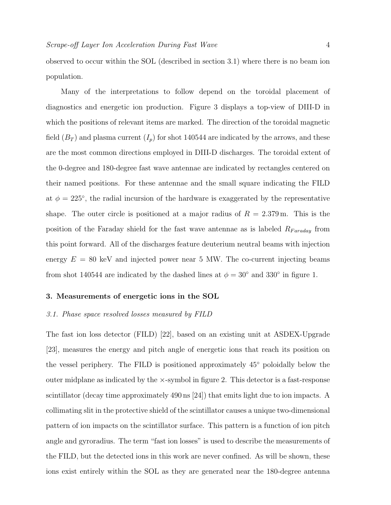observed to occur within the SOL (described in section 3.1) where there is no beam ion population.

Many of the interpretations to follow depend on the toroidal placement of diagnostics and energetic ion production. Figure 3 displays a top-view of DIII-D in which the positions of relevant items are marked. The direction of the toroidal magnetic field  $(B_T)$  and plasma current  $(I_p)$  for shot 140544 are indicated by the arrows, and these are the most common directions employed in DIII-D discharges. The toroidal extent of the 0-degree and 180-degree fast wave antennae are indicated by rectangles centered on their named positions. For these antennae and the small square indicating the FILD at  $\phi = 225^{\circ}$ , the radial incursion of the hardware is exaggerated by the representative shape. The outer circle is positioned at a major radius of  $R = 2.379$  m. This is the position of the Faraday shield for the fast wave antennae as is labeled  $R_{Faraday}$  from this point forward. All of the discharges feature deuterium neutral beams with injection energy  $E = 80$  keV and injected power near 5 MW. The co-current injecting beams from shot 140544 are indicated by the dashed lines at  $\phi = 30^{\circ}$  and 330° in figure 1.

## 3. Measurements of energetic ions in the SOL

#### 3.1. Phase space resolved losses measured by FILD

The fast ion loss detector (FILD) [22], based on an existing unit at ASDEX-Upgrade [23], measures the energy and pitch angle of energetic ions that reach its position on the vessel periphery. The FILD is positioned approximately 45◦ poloidally below the outer midplane as indicated by the  $\times$ -symbol in figure 2. This detector is a fast-response scintillator (decay time approximately 490 ns [24]) that emits light due to ion impacts. A collimating slit in the protective shield of the scintillator causes a unique two-dimensional pattern of ion impacts on the scintillator surface. This pattern is a function of ion pitch angle and gyroradius. The term "fast ion losses" is used to describe the measurements of the FILD, but the detected ions in this work are never confined. As will be shown, these ions exist entirely within the SOL as they are generated near the 180-degree antenna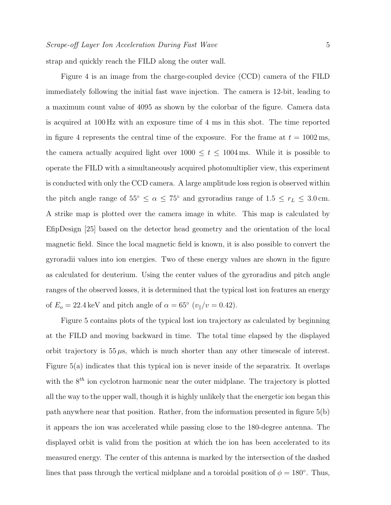strap and quickly reach the FILD along the outer wall.

Figure 4 is an image from the charge-coupled device (CCD) camera of the FILD immediately following the initial fast wave injection. The camera is 12-bit, leading to a maximum count value of 4095 as shown by the colorbar of the figure. Camera data is acquired at 100 Hz with an exposure time of 4 ms in this shot. The time reported in figure 4 represents the central time of the exposure. For the frame at  $t = 1002 \,\text{ms}$ , the camera actually acquired light over  $1000 \le t \le 1004$  ms. While it is possible to operate the FILD with a simultaneously acquired photomultiplier view, this experiment is conducted with only the CCD camera. A large amplitude loss region is observed within the pitch angle range of  $55° \le \alpha \le 75°$  and gyroradius range of  $1.5 \le r_L \le 3.0$  cm. A strike map is plotted over the camera image in white. This map is calculated by EfipDesign [25] based on the detector head geometry and the orientation of the local magnetic field. Since the local magnetic field is known, it is also possible to convert the gyroradii values into ion energies. Two of these energy values are shown in the figure as calculated for deuterium. Using the center values of the gyroradius and pitch angle ranges of the observed losses, it is determined that the typical lost ion features an energy of  $E_o = 22.4 \,\text{keV}$  and pitch angle of  $\alpha = 65^\circ \, (v_{\parallel}/v = 0.42)$ .

Figure 5 contains plots of the typical lost ion trajectory as calculated by beginning at the FILD and moving backward in time. The total time elapsed by the displayed orbit trajectory is  $55 \mu s$ , which is much shorter than any other timescale of interest. Figure 5(a) indicates that this typical ion is never inside of the separatrix. It overlaps with the  $8^{th}$  ion cyclotron harmonic near the outer midplane. The trajectory is plotted all the way to the upper wall, though it is highly unlikely that the energetic ion began this path anywhere near that position. Rather, from the information presented in figure 5(b) it appears the ion was accelerated while passing close to the 180-degree antenna. The displayed orbit is valid from the position at which the ion has been accelerated to its measured energy. The center of this antenna is marked by the intersection of the dashed lines that pass through the vertical midplane and a toroidal position of  $\phi = 180^\circ$ . Thus,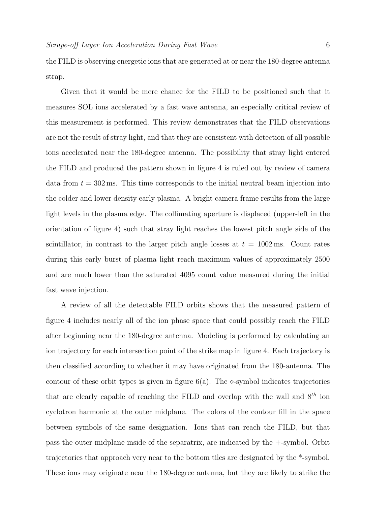the FILD is observing energetic ions that are generated at or near the 180-degree antenna strap.

Given that it would be mere chance for the FILD to be positioned such that it measures SOL ions accelerated by a fast wave antenna, an especially critical review of this measurement is performed. This review demonstrates that the FILD observations are not the result of stray light, and that they are consistent with detection of all possible ions accelerated near the 180-degree antenna. The possibility that stray light entered the FILD and produced the pattern shown in figure 4 is ruled out by review of camera data from  $t = 302 \,\text{ms}$ . This time corresponds to the initial neutral beam injection into the colder and lower density early plasma. A bright camera frame results from the large light levels in the plasma edge. The collimating aperture is displaced (upper-left in the orientation of figure 4) such that stray light reaches the lowest pitch angle side of the scintillator, in contrast to the larger pitch angle losses at  $t = 1002 \,\text{ms}$ . Count rates during this early burst of plasma light reach maximum values of approximately 2500 and are much lower than the saturated 4095 count value measured during the initial fast wave injection.

A review of all the detectable FILD orbits shows that the measured pattern of figure 4 includes nearly all of the ion phase space that could possibly reach the FILD after beginning near the 180-degree antenna. Modeling is performed by calculating an ion trajectory for each intersection point of the strike map in figure 4. Each trajectory is then classified according to whether it may have originated from the 180-antenna. The contour of these orbit types is given in figure  $6(a)$ . The  $\diamond$ -symbol indicates trajectories that are clearly capable of reaching the FILD and overlap with the wall and  $8<sup>th</sup>$  ion cyclotron harmonic at the outer midplane. The colors of the contour fill in the space between symbols of the same designation. Ions that can reach the FILD, but that pass the outer midplane inside of the separatrix, are indicated by the +-symbol. Orbit trajectories that approach very near to the bottom tiles are designated by the \*-symbol. These ions may originate near the 180-degree antenna, but they are likely to strike the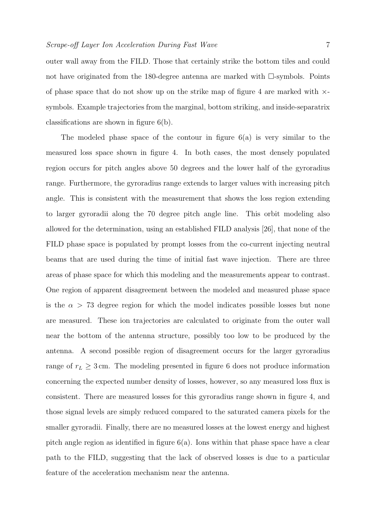outer wall away from the FILD. Those that certainly strike the bottom tiles and could not have originated from the 180-degree antenna are marked with  $\Box$ -symbols. Points of phase space that do not show up on the strike map of figure 4 are marked with  $\times$ symbols. Example trajectories from the marginal, bottom striking, and inside-separatrix classifications are shown in figure 6(b).

The modeled phase space of the contour in figure 6(a) is very similar to the measured loss space shown in figure 4. In both cases, the most densely populated region occurs for pitch angles above 50 degrees and the lower half of the gyroradius range. Furthermore, the gyroradius range extends to larger values with increasing pitch angle. This is consistent with the measurement that shows the loss region extending to larger gyroradii along the 70 degree pitch angle line. This orbit modeling also allowed for the determination, using an established FILD analysis [26], that none of the FILD phase space is populated by prompt losses from the co-current injecting neutral beams that are used during the time of initial fast wave injection. There are three areas of phase space for which this modeling and the measurements appear to contrast. One region of apparent disagreement between the modeled and measured phase space is the  $\alpha > 73$  degree region for which the model indicates possible losses but none are measured. These ion trajectories are calculated to originate from the outer wall near the bottom of the antenna structure, possibly too low to be produced by the antenna. A second possible region of disagreement occurs for the larger gyroradius range of  $r<sub>L</sub> \geq 3$  cm. The modeling presented in figure 6 does not produce information concerning the expected number density of losses, however, so any measured loss flux is consistent. There are measured losses for this gyroradius range shown in figure 4, and those signal levels are simply reduced compared to the saturated camera pixels for the smaller gyroradii. Finally, there are no measured losses at the lowest energy and highest pitch angle region as identified in figure 6(a). Ions within that phase space have a clear path to the FILD, suggesting that the lack of observed losses is due to a particular feature of the acceleration mechanism near the antenna.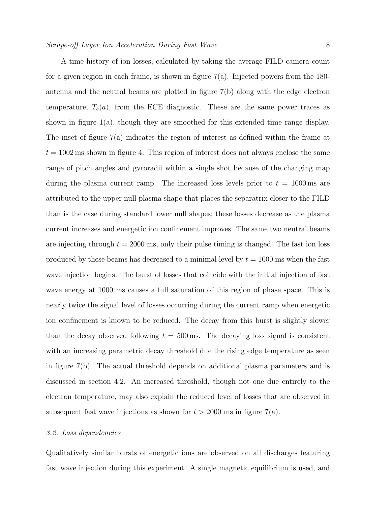A time history of ion losses, calculated by taking the average FILD camera count for a given region in each frame, is shown in figure  $7(a)$ . Injected powers from the 180antenna and the neutral beams are plotted in figure 7(b) along with the edge electron temperature,  $T_e(a)$ , from the ECE diagnostic. These are the same power traces as shown in figure 1(a), though they are smoothed for this extended time range display. The inset of figure 7(a) indicates the region of interest as defined within the frame at  $t = 1002$  ms shown in figure 4. This region of interest does not always enclose the same range of pitch angles and gyroradii within a single shot because of the changing map during the plasma current ramp. The increased loss levels prior to  $t = 1000 \,\text{ms}$  are attributed to the upper null plasma shape that places the separatrix closer to the FILD than is the case during standard lower null shapes; these losses decrease as the plasma current increases and energetic ion confinement improves. The same two neutral beams are injecting through  $t = 2000$  ms, only their pulse timing is changed. The fast ion loss produced by these beams has decreased to a minimal level by  $t = 1000$  ms when the fast wave injection begins. The burst of losses that coincide with the initial injection of fast wave energy at 1000 ms causes a full saturation of this region of phase space. This is nearly twice the signal level of losses occurring during the current ramp when energetic ion confinement is known to be reduced. The decay from this burst is slightly slower than the decay observed following  $t = 500$  ms. The decaying loss signal is consistent

# 3.2. Loss dependencies

Qualitatively similar bursts of energetic ions are observed on all discharges featuring fast wave injection during this experiment. A single magnetic equilibrium is used, and

with an increasing parametric decay threshold due the rising edge temperature as seen

in figure 7(b). The actual threshold depends on additional plasma parameters and is

discussed in section 4.2. An increased threshold, though not one due entirely to the

electron temperature, may also explain the reduced level of losses that are observed in

subsequent fast wave injections as shown for  $t > 2000$  ms in figure 7(a).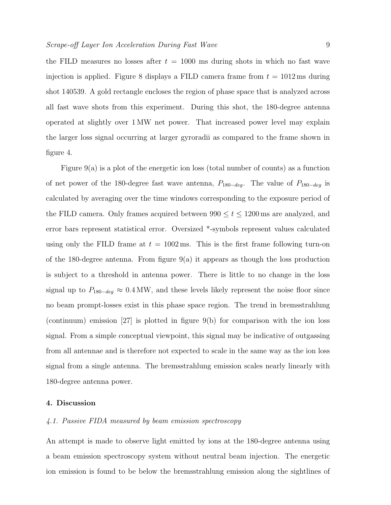the FILD measures no losses after  $t = 1000$  ms during shots in which no fast wave injection is applied. Figure 8 displays a FILD camera frame from  $t = 1012 \,\text{ms}$  during shot 140539. A gold rectangle encloses the region of phase space that is analyzed across all fast wave shots from this experiment. During this shot, the 180-degree antenna operated at slightly over 1 MW net power. That increased power level may explain the larger loss signal occurring at larger gyroradii as compared to the frame shown in figure 4.

Figure 9(a) is a plot of the energetic ion loss (total number of counts) as a function of net power of the 180-degree fast wave antenna,  $P_{180-deg}$ . The value of  $P_{180-deg}$  is calculated by averaging over the time windows corresponding to the exposure period of the FILD camera. Only frames acquired between  $990 \le t \le 1200$  ms are analyzed, and error bars represent statistical error. Oversized \*-symbols represent values calculated using only the FILD frame at  $t = 1002 \,\text{ms}$ . This is the first frame following turn-on of the 180-degree antenna. From figure 9(a) it appears as though the loss production is subject to a threshold in antenna power. There is little to no change in the loss signal up to  $P_{180-deg} \approx 0.4 \text{ MW}$ , and these levels likely represent the noise floor since no beam prompt-losses exist in this phase space region. The trend in bremsstrahlung (continuum) emission [27] is plotted in figure 9(b) for comparison with the ion loss signal. From a simple conceptual viewpoint, this signal may be indicative of outgassing from all antennae and is therefore not expected to scale in the same way as the ion loss signal from a single antenna. The bremsstrahlung emission scales nearly linearly with 180-degree antenna power.

# 4. Discussion

#### 4.1. Passive FIDA measured by beam emission spectroscopy

An attempt is made to observe light emitted by ions at the 180-degree antenna using a beam emission spectroscopy system without neutral beam injection. The energetic ion emission is found to be below the bremsstrahlung emission along the sightlines of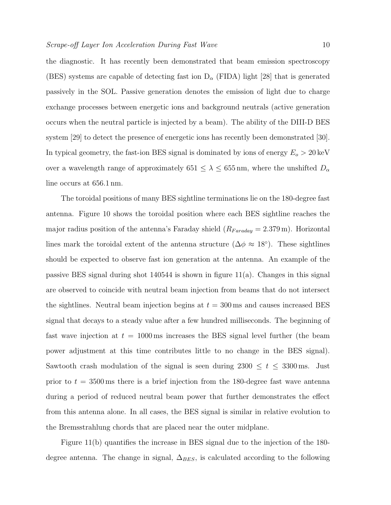the diagnostic. It has recently been demonstrated that beam emission spectroscopy (BES) systems are capable of detecting fast ion  $D_{\alpha}$  (FIDA) light [28] that is generated passively in the SOL. Passive generation denotes the emission of light due to charge exchange processes between energetic ions and background neutrals (active generation occurs when the neutral particle is injected by a beam). The ability of the DIII-D BES system [29] to detect the presence of energetic ions has recently been demonstrated [30]. In typical geometry, the fast-ion BES signal is dominated by ions of energy  $E_o > 20 \,\text{keV}$ over a wavelength range of approximately 651  $\leq \lambda \leq 655$  nm, where the unshifted  $D_{\alpha}$ line occurs at 656.1 nm.

The toroidal positions of many BES sightline terminations lie on the 180-degree fast antenna. Figure 10 shows the toroidal position where each BES sightline reaches the major radius position of the antenna's Faraday shield  $(R_{Faraday} = 2.379 \,\text{m})$ . Horizontal lines mark the toroidal extent of the antenna structure  $(\Delta \phi \approx 18^{\circ})$ . These sightlines should be expected to observe fast ion generation at the antenna. An example of the passive BES signal during shot  $140544$  is shown in figure  $11(a)$ . Changes in this signal are observed to coincide with neutral beam injection from beams that do not intersect the sightlines. Neutral beam injection begins at  $t = 300 \,\text{ms}$  and causes increased BES signal that decays to a steady value after a few hundred milliseconds. The beginning of fast wave injection at  $t = 1000 \,\text{ms}$  increases the BES signal level further (the beam power adjustment at this time contributes little to no change in the BES signal). Sawtooth crash modulation of the signal is seen during  $2300 \le t \le 3300$  ms. Just prior to  $t = 3500 \,\text{ms}$  there is a brief injection from the 180-degree fast wave antenna during a period of reduced neutral beam power that further demonstrates the effect from this antenna alone. In all cases, the BES signal is similar in relative evolution to the Bremsstrahlung chords that are placed near the outer midplane.

Figure 11(b) quantifies the increase in BES signal due to the injection of the 180 degree antenna. The change in signal,  $\Delta_{BES}$ , is calculated according to the following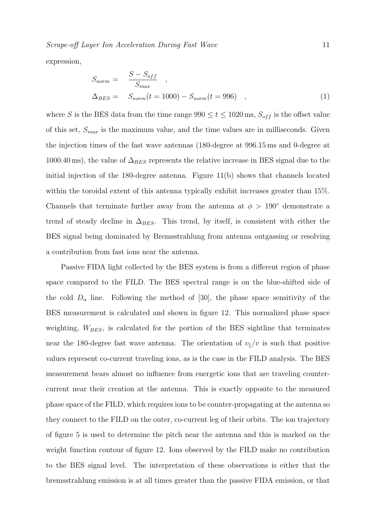Scrape-off Layer Ion Acceleration During Fast Wave 11

expression,

$$
S_{norm} = \frac{S - S_{off}}{S_{max}} ,
$$
  
\n
$$
\Delta_{BES} = S_{norm}(t = 1000) - S_{norm}(t = 996) ,
$$
\n(1)

where S is the BES data from the time range  $990 \le t \le 1020$  ms,  $S_{off}$  is the offset value of this set,  $S_{max}$  is the maximum value, and the time values are in milliseconds. Given the injection times of the fast wave antennas (180-degree at 996.15 ms and 0-degree at 1000.40 ms), the value of  $\Delta_{BES}$  represents the relative increase in BES signal due to the initial injection of the 180-degree antenna. Figure 11(b) shows that channels located within the toroidal extent of this antenna typically exhibit increases greater than 15%. Channels that terminate further away from the antenna at  $\phi > 190^{\circ}$  demonstrate a trend of steady decline in  $\Delta_{BES}$ . This trend, by itself, is consistent with either the BES signal being dominated by Bremsstrahlung from antenna outgassing or resolving a contribution from fast ions near the antenna.

Passive FIDA light collected by the BES system is from a different region of phase space compared to the FILD. The BES spectral range is on the blue-shifted side of the cold  $D_{\alpha}$  line. Following the method of [30], the phase space sensitivity of the BES measurement is calculated and shown in figure 12. This normalized phase space weighting,  $W_{BES}$ , is calculated for the portion of the BES sightline that terminates near the 180-degree fast wave antenna. The orientation of  $v_{\parallel}/v$  is such that positive values represent co-current traveling ions, as is the case in the FILD analysis. The BES measurement bears almost no influence from energetic ions that are traveling countercurrent near their creation at the antenna. This is exactly opposite to the measured phase space of the FILD, which requires ions to be counter-propagating at the antenna so they connect to the FILD on the outer, co-current leg of their orbits. The ion trajectory of figure 5 is used to determine the pitch near the antenna and this is marked on the weight function contour of figure 12. Ions observed by the FILD make no contribution to the BES signal level. The interpretation of these observations is either that the bremsstrahlung emission is at all times greater than the passive FIDA emission, or that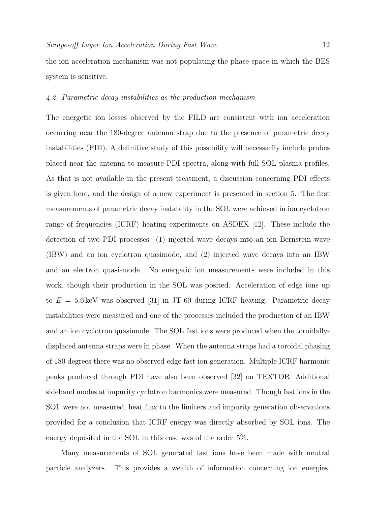the ion acceleration mechanism was not populating the phase space in which the BES system is sensitive.

## 4.2. Parametric decay instabilities as the production mechanism

The energetic ion losses observed by the FILD are consistent with ion acceleration occurring near the 180-degree antenna strap due to the presence of parametric decay instabilities (PDI). A definitive study of this possibility will necessarily include probes placed near the antenna to measure PDI spectra, along with full SOL plasma profiles. As that is not available in the present treatment, a discussion concerning PDI effects is given here, and the design of a new experiment is presented in section 5. The first measurements of parametric decay instability in the SOL were achieved in ion cyclotron range of frequencies (ICRF) heating experiments on ASDEX [12]. These include the detection of two PDI processes: (1) injected wave decays into an ion Bernstein wave (IBW) and an ion cyclotron quasimode, and (2) injected wave decays into an IBW and an electron quasi-mode. No energetic ion measurements were included in this work, though their production in the SOL was posited. Acceleration of edge ions up to  $E = 5.6 \,\text{keV}$  was observed [31] in JT-60 during ICRF heating. Parametric decay instabilities were measured and one of the processes included the production of an IBW and an ion cyclotron quasimode. The SOL fast ions were produced when the toroidallydisplaced antenna straps were in phase. When the antenna straps had a toroidal phasing of 180 degrees there was no observed edge fast ion generation. Multiple ICRF harmonic peaks produced through PDI have also been observed [32] on TEXTOR. Additional sideband modes at impurity cyclotron harmonics were measured. Though fast ions in the SOL were not measured, heat flux to the limiters and impurity generation observations provided for a conclusion that ICRF energy was directly absorbed by SOL ions. The energy deposited in the SOL in this case was of the order 5%.

Many measurements of SOL generated fast ions have been made with neutral particle analyzers. This provides a wealth of information concerning ion energies,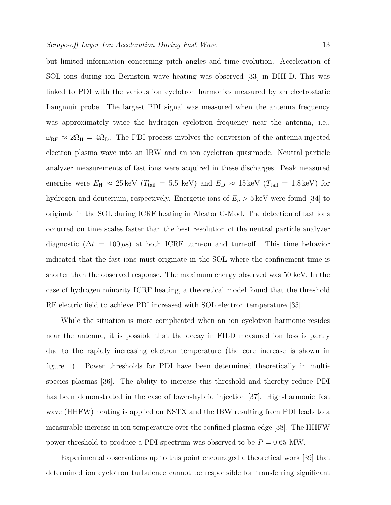but limited information concerning pitch angles and time evolution. Acceleration of SOL ions during ion Bernstein wave heating was observed [33] in DIII-D. This was linked to PDI with the various ion cyclotron harmonics measured by an electrostatic Langmuir probe. The largest PDI signal was measured when the antenna frequency was approximately twice the hydrogen cyclotron frequency near the antenna, i.e.,  $\omega_{\textrm{RF}} \approx 2\Omega_{\textrm{H}} = 4\Omega_{\textrm{D}}$ . The PDI process involves the conversion of the antenna-injected electron plasma wave into an IBW and an ion cyclotron quasimode. Neutral particle analyzer measurements of fast ions were acquired in these discharges. Peak measured energies were  $E_{\rm H} \approx 25 \,\text{keV}$  ( $T_{\rm tail} = 5.5 \,\text{ keV}$ ) and  $E_{\rm D} \approx 15 \,\text{keV}$  ( $T_{\rm tail} = 1.8 \,\text{keV}$ ) for hydrogen and deuterium, respectively. Energetic ions of  $E_o > 5 \,\text{keV}$  were found [34] to originate in the SOL during ICRF heating in Alcator C-Mod. The detection of fast ions occurred on time scales faster than the best resolution of the neutral particle analyzer diagnostic  $(\Delta t = 100 \,\mu s)$  at both ICRF turn-on and turn-off. This time behavior indicated that the fast ions must originate in the SOL where the confinement time is shorter than the observed response. The maximum energy observed was 50 keV. In the case of hydrogen minority ICRF heating, a theoretical model found that the threshold RF electric field to achieve PDI increased with SOL electron temperature [35].

While the situation is more complicated when an ion cyclotron harmonic resides near the antenna, it is possible that the decay in FILD measured ion loss is partly due to the rapidly increasing electron temperature (the core increase is shown in figure 1). Power thresholds for PDI have been determined theoretically in multispecies plasmas [36]. The ability to increase this threshold and thereby reduce PDI has been demonstrated in the case of lower-hybrid injection [37]. High-harmonic fast wave (HHFW) heating is applied on NSTX and the IBW resulting from PDI leads to a measurable increase in ion temperature over the confined plasma edge [38]. The HHFW power threshold to produce a PDI spectrum was observed to be  $P = 0.65$  MW.

Experimental observations up to this point encouraged a theoretical work [39] that determined ion cyclotron turbulence cannot be responsible for transferring significant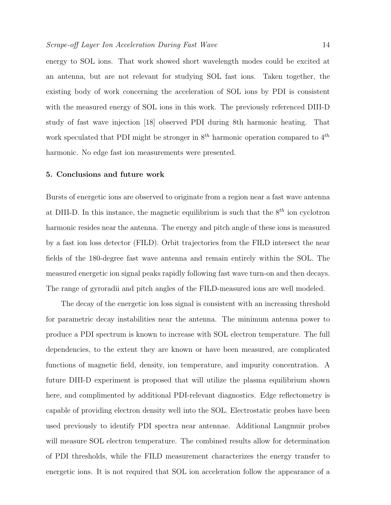energy to SOL ions. That work showed short wavelength modes could be excited at an antenna, but are not relevant for studying SOL fast ions. Taken together, the existing body of work concerning the acceleration of SOL ions by PDI is consistent with the measured energy of SOL ions in this work. The previously referenced DIII-D study of fast wave injection [18] observed PDI during 8th harmonic heating. That work speculated that PDI might be stronger in  $8^{th}$  harmonic operation compared to  $4^{th}$ harmonic. No edge fast ion measurements were presented.

#### 5. Conclusions and future work

Bursts of energetic ions are observed to originate from a region near a fast wave antenna at DIII-D. In this instance, the magnetic equilibrium is such that the  $8<sup>th</sup>$  ion cyclotron harmonic resides near the antenna. The energy and pitch angle of these ions is measured by a fast ion loss detector (FILD). Orbit trajectories from the FILD intersect the near fields of the 180-degree fast wave antenna and remain entirely within the SOL. The measured energetic ion signal peaks rapidly following fast wave turn-on and then decays. The range of gyroradii and pitch angles of the FILD-measured ions are well modeled.

The decay of the energetic ion loss signal is consistent with an increasing threshold for parametric decay instabilities near the antenna. The minimum antenna power to produce a PDI spectrum is known to increase with SOL electron temperature. The full dependencies, to the extent they are known or have been measured, are complicated functions of magnetic field, density, ion temperature, and impurity concentration. A future DIII-D experiment is proposed that will utilize the plasma equilibrium shown here, and complimented by additional PDI-relevant diagnostics. Edge reflectometry is capable of providing electron density well into the SOL. Electrostatic probes have been used previously to identify PDI spectra near antennae. Additional Langmuir probes will measure SOL electron temperature. The combined results allow for determination of PDI thresholds, while the FILD measurement characterizes the energy transfer to energetic ions. It is not required that SOL ion acceleration follow the appearance of a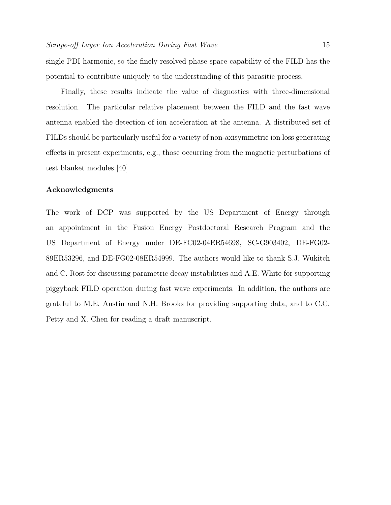single PDI harmonic, so the finely resolved phase space capability of the FILD has the potential to contribute uniquely to the understanding of this parasitic process.

Finally, these results indicate the value of diagnostics with three-dimensional resolution. The particular relative placement between the FILD and the fast wave antenna enabled the detection of ion acceleration at the antenna. A distributed set of FILDs should be particularly useful for a variety of non-axisymmetric ion loss generating effects in present experiments, e.g., those occurring from the magnetic perturbations of test blanket modules [40].

# Acknowledgments

The work of DCP was supported by the US Department of Energy through an appointment in the Fusion Energy Postdoctoral Research Program and the US Department of Energy under DE-FC02-04ER54698, SC-G903402, DE-FG02- 89ER53296, and DE-FG02-08ER54999. The authors would like to thank S.J. Wukitch and C. Rost for discussing parametric decay instabilities and A.E. White for supporting piggyback FILD operation during fast wave experiments. In addition, the authors are grateful to M.E. Austin and N.H. Brooks for providing supporting data, and to C.C. Petty and X. Chen for reading a draft manuscript.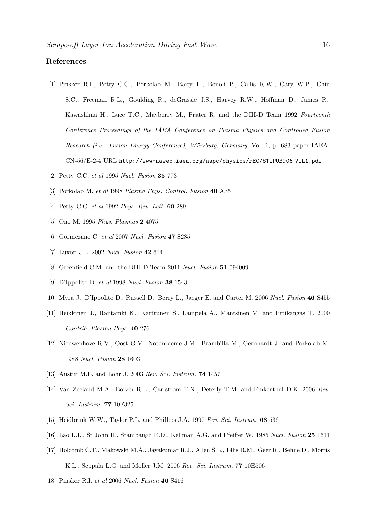# References

- [1] Pinsker R.I., Petty C.C., Porkolab M., Baity F., Bonoli P., Callis R.W., Cary W.P., Chiu S.C., Freeman R.L., Goulding R., deGrassie J.S., Harvey R.W., Hoffman D., James R., Kawashima H., Luce T.C., Mayberry M., Prater R. and the DIII-D Team 1992 Fourteenth Conference Proceedings of the IAEA Conference on Plasma Physics and Controlled Fusion Research (i.e., Fusion Energy Conference), Würzburg, Germany, Vol. 1, p. 683 paper IAEA-CN-56/E-2-4 URL http://www-naweb.iaea.org/napc/physics/FEC/STIPUB906 VOL1.pdf
- [2] Petty C.C. et al 1995 Nucl. Fusion 35 773
- [3] Porkolab M. et al 1998 Plasma Phys. Control. Fusion 40 A35
- [4] Petty C.C. et al 1992 Phys. Rev. Lett. 69 289
- [5] Ono M. 1995 Phys. Plasmas 2 4075
- [6] Gormezano C. et al 2007 Nucl. Fusion 47 S285
- [7] Luxon J.L. 2002 Nucl. Fusion 42 614
- [8] Greenfield C.M. and the DIII-D Team 2011 Nucl. Fusion 51 094009
- [9] D'Ippolito D. et al 1998 Nucl. Fusion 38 1543
- [10] Myra J., D'Ippolito D., Russell D., Berry L., Jaeger E. and Carter M. 2006 Nucl. Fusion 46 S455
- [11] Heikkinen J., Rantamki K., Karttunen S., Lampela A., Mantsinen M. and Pttikangas T. 2000 Contrib. Plasma Phys. 40 276
- [12] Nieuwenhove R.V., Oost G.V., Noterdaeme J.M., Brambilla M., Gernhardt J. and Porkolab M. 1988 Nucl. Fusion 28 1603
- [13] Austin M.E. and Lohr J. 2003 Rev. Sci. Instrum. 74 1457
- [14] Van Zeeland M.A., Boivin R.L., Carlstrom T.N., Deterly T.M. and Finkenthal D.K. 2006 Rev. Sci. Instrum. 77 10F325
- [15] Heidbrink W.W., Taylor P.L. and Phillips J.A. 1997 Rev. Sci. Instrum. 68 536
- [16] Lao L.L., St John H., Stambaugh R.D., Kellman A.G. and Pfeiffer W. 1985 Nucl. Fusion 25 1611
- [17] Holcomb C.T., Makowski M.A., Jayakumar R.J., Allen S.L., Ellis R.M., Geer R., Behne D., Morris K.L., Seppala L.G. and Moller J.M. 2006 Rev. Sci. Instrum. 77 10E506
- [18] Pinsker R.I. et al 2006 Nucl. Fusion 46 S416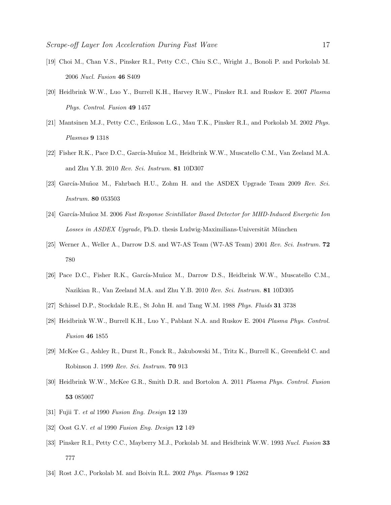- [19] Choi M., Chan V.S., Pinsker R.I., Petty C.C., Chiu S.C., Wright J., Bonoli P. and Porkolab M. 2006 Nucl. Fusion 46 S409
- [20] Heidbrink W.W., Luo Y., Burrell K.H., Harvey R.W., Pinsker R.I. and Ruskov E. 2007 Plasma Phys. Control. Fusion 49 1457
- [21] Mantsinen M.J., Petty C.C., Eriksson L.G., Mau T.K., Pinsker R.I., and Porkolab M. 2002 Phys. Plasmas 9 1318
- [22] Fisher R.K., Pace D.C., García-Muñoz M., Heidbrink W.W., Muscatello C.M., Van Zeeland M.A. and Zhu Y.B. 2010 Rev. Sci. Instrum. 81 10D307
- [23] García-Muñoz M., Fahrbach H.U., Zohm H. and the ASDEX Upgrade Team 2009 Rev. Sci. Instrum. 80 053503
- [24] García-Muñoz M. 2006 Fast Response Scintillator Based Detector for MHD-Induced Energetic Ion Losses in ASDEX Upgrade, Ph.D. thesis Ludwig-Maximilians-Universität München
- [25] Werner A., Weller A., Darrow D.S. and W7-AS Team (W7-AS Team) 2001 Rev. Sci. Instrum. 72 780
- [26] Pace D.C., Fisher R.K., García-Muñoz M., Darrow D.S., Heidbrink W.W., Muscatello C.M., Nazikian R., Van Zeeland M.A. and Zhu Y.B. 2010 Rev. Sci. Instrum. 81 10D305
- [27] Schissel D.P., Stockdale R.E., St John H. and Tang W.M. 1988 Phys. Fluids 31 3738
- [28] Heidbrink W.W., Burrell K.H., Luo Y., Pablant N.A. and Ruskov E. 2004 Plasma Phys. Control. Fusion 46 1855
- [29] McKee G., Ashley R., Durst R., Fonck R., Jakubowski M., Tritz K., Burrell K., Greenfield C. and Robinson J. 1999 Rev. Sci. Instrum. 70 913
- [30] Heidbrink W.W., McKee G.R., Smith D.R. and Bortolon A. 2011 Plasma Phys. Control. Fusion 53 085007
- [31] Fujii T. et al 1990 Fusion Eng. Design 12 139
- [32] Oost G.V. et al 1990 Fusion Eng. Design 12 149
- [33] Pinsker R.I., Petty C.C., Mayberry M.J., Porkolab M. and Heidbrink W.W. 1993 Nucl. Fusion 33 777
- [34] Rost J.C., Porkolab M. and Boivin R.L. 2002 Phys. Plasmas 9 1262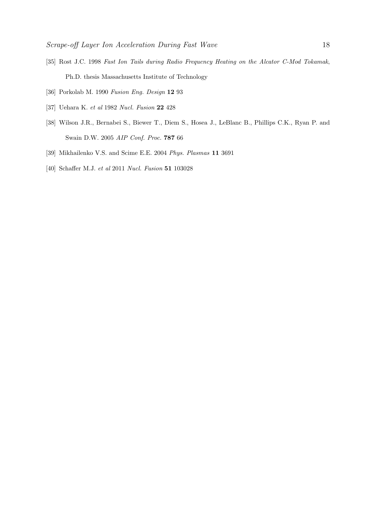- [35] Rost J.C. 1998 Fast Ion Tails during Radio Frequency Heating on the Alcator C-Mod Tokamak, Ph.D. thesis Massachusetts Institute of Technology
- [36] Porkolab M. 1990 Fusion Eng. Design 12 93
- [37] Uehara K. et al 1982 Nucl. Fusion 22 428
- [38] Wilson J.R., Bernabei S., Biewer T., Diem S., Hosea J., LeBlanc B., Phillips C.K., Ryan P. and Swain D.W. 2005 AIP Conf. Proc. 787 66
- [39] Mikhailenko V.S. and Scime E.E. 2004 Phys. Plasmas 11 3691
- [40] Schaffer M.J. et al 2011 Nucl. Fusion 51 103028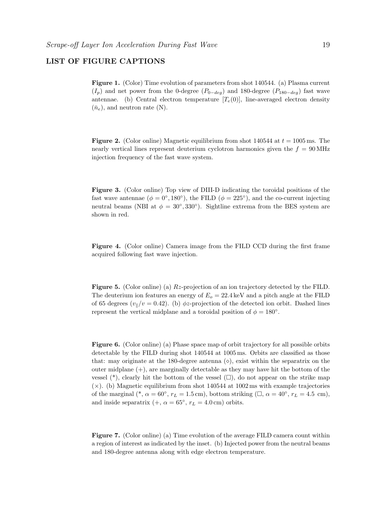# LIST OF FIGURE CAPTIONS

Figure 1. (Color) Time evolution of parameters from shot 140544. (a) Plasma current  $(I_p)$  and net power from the 0-degree  $(P_{0-deg})$  and 180-degree  $(P_{180-deg})$  fast wave antennae. (b) Central electron temperature  $[T_e(0)]$ , line-averaged electron density  $(\bar{n}_e)$ , and neutron rate (N).

**Figure 2.** (Color online) Magnetic equilibrium from shot  $140544$  at  $t = 1005$  ms. The nearly vertical lines represent deuterium cyclotron harmonics given the  $f = 90 \text{ MHz}$ injection frequency of the fast wave system.

Figure 3. (Color online) Top view of DIII-D indicating the toroidal positions of the fast wave antennae ( $\phi = 0^{\circ}$ , 180<sup>°</sup>), the FILD ( $\phi = 225^{\circ}$ ), and the co-current injecting neutral beams (NBI at  $\phi = 30^{\circ}, 330^{\circ}$ ). Sightline extrema from the BES system are shown in red.

Figure 4. (Color online) Camera image from the FILD CCD during the first frame acquired following fast wave injection.

Figure 5. (Color online) (a) Rz-projection of an ion trajectory detected by the FILD. The deuterium ion features an energy of  $E<sub>o</sub> = 22.4 \text{ keV}$  and a pitch angle at the FILD of 65 degrees  $(v_{\parallel}/v = 0.42)$ . (b)  $\phi$ z-projection of the detected ion orbit. Dashed lines represent the vertical midplane and a toroidal position of  $\phi = 180^\circ$ .

Figure 6. (Color online) (a) Phase space map of orbit trajectory for all possible orbits detectable by the FILD during shot 140544 at 1005 ms. Orbits are classified as those that: may originate at the 180-degree antenna  $(\diamond)$ , exist within the separatrix on the outer midplane  $(+)$ , are marginally detectable as they may have hit the bottom of the vessel  $(*)$ , clearly hit the bottom of the vessel  $(\square)$ , do not appear on the strike map  $(x)$ . (b) Magnetic equilibrium from shot 140544 at 1002 ms with example trajectories of the marginal (\*,  $\alpha = 60^{\circ}$ ,  $r_L = 1.5$  cm), bottom striking ( $\Box$ ,  $\alpha = 40^{\circ}$ ,  $r_L = 4.5$  cm), and inside separatrix  $(+, \alpha = 65^{\circ}, r_L = 4.0 \text{ cm})$  orbits.

Figure 7. (Color online) (a) Time evolution of the average FILD camera count within a region of interest as indicated by the inset. (b) Injected power from the neutral beams and 180-degree antenna along with edge electron temperature.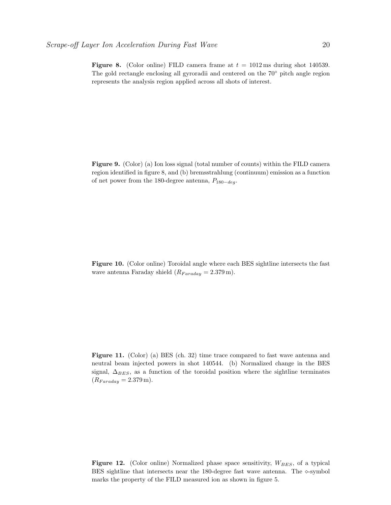**Figure 8.** (Color online) FILD camera frame at  $t = 1012 \,\text{ms}$  during shot 140539. The gold rectangle enclosing all gyroradii and centered on the 70◦ pitch angle region represents the analysis region applied across all shots of interest.

Figure 9. (Color) (a) Ion loss signal (total number of counts) within the FILD camera region identified in figure 8, and (b) bremsstrahlung (continuum) emission as a function of net power from the 180-degree antenna,  $P_{180-deg}$ .

Figure 10. (Color online) Toroidal angle where each BES sightline intersects the fast wave antenna Faraday shield  $(R_{Faraday} = 2.379 \,\mathrm{m}).$ 

Figure 11. (Color) (a) BES (ch. 32) time trace compared to fast wave antenna and neutral beam injected powers in shot 140544. (b) Normalized change in the BES signal,  $\Delta_{BES}$ , as a function of the toroidal position where the sightline terminates  $(R_{Faraday} = 2.379 \,\mathrm{m}).$ 

**Figure 12.** (Color online) Normalized phase space sensitivity,  $W_{BES}$ , of a typical BES sightline that intersects near the 180-degree fast wave antenna. The  $\infty$ -symbol marks the property of the FILD measured ion as shown in figure 5.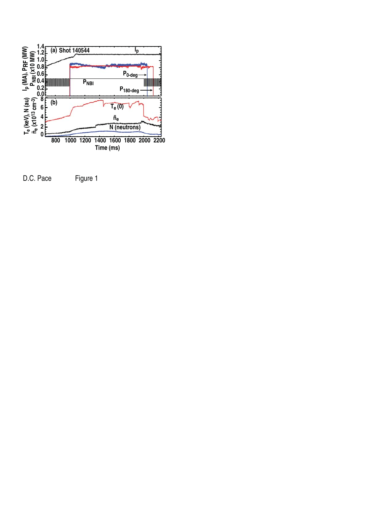

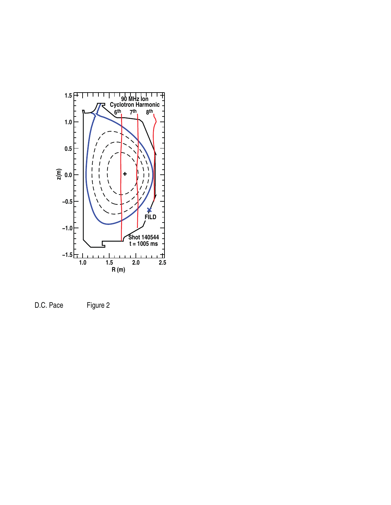

D.C. Pace Figure 2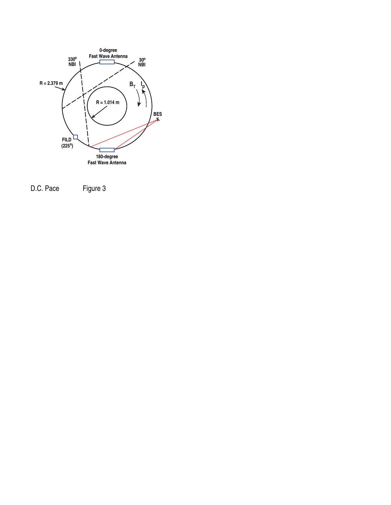

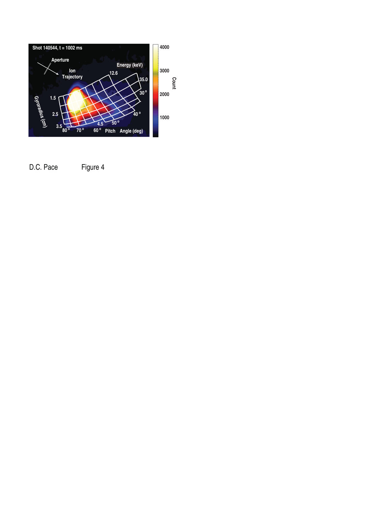

D.C. Pace Figure 4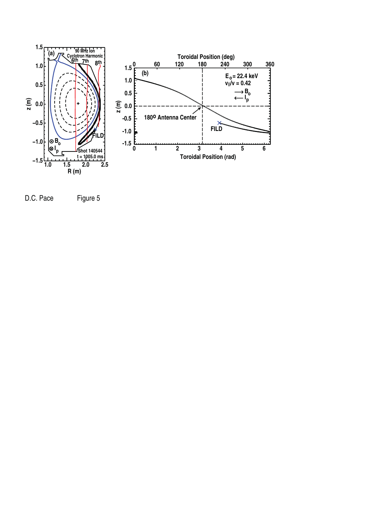

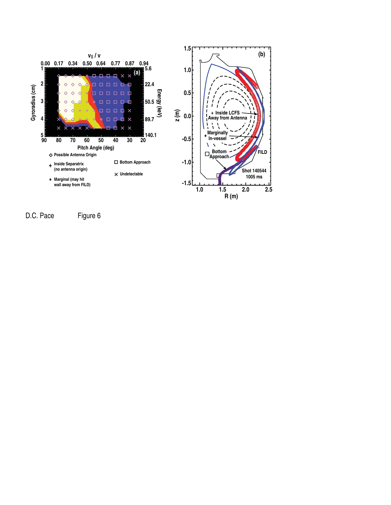

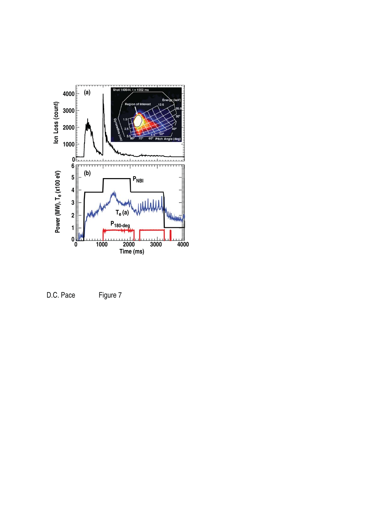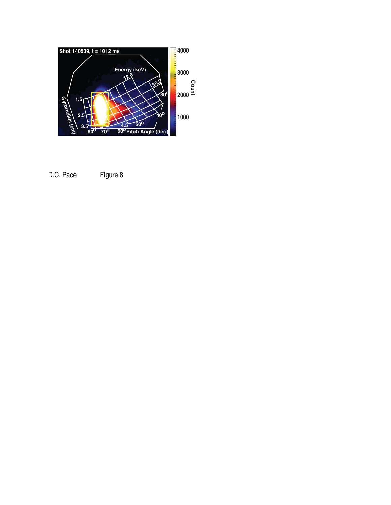

D.C. Pace Figure 8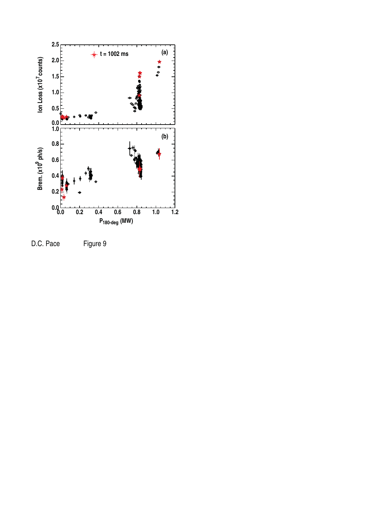

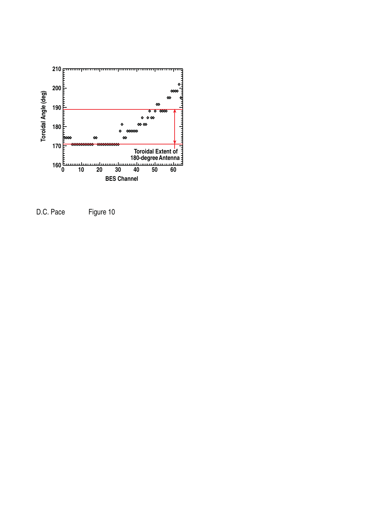

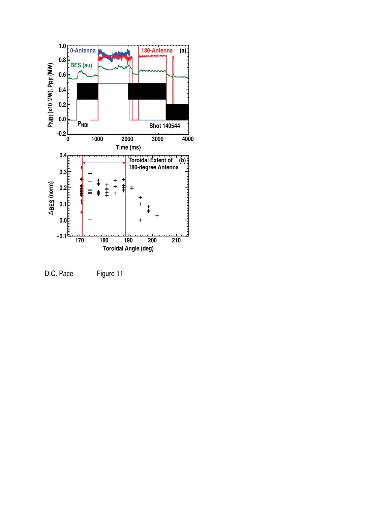